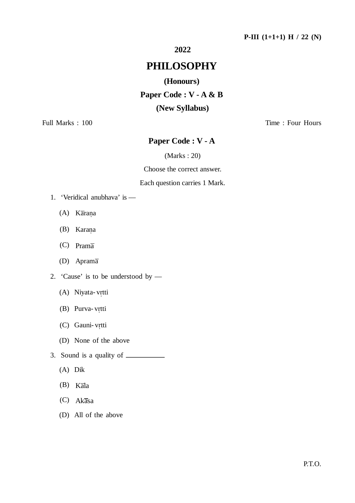# **2022**

# **PHILOSOPHY**

## **(Honours)**

**Paper Code : V - A & B (New Syllabus)**

Full Marks : 100 Time : Four Hours

# **Paper Code : V - A**

(Marks : 20)

Choose the correct answer.

## Each question carries 1 Mark.

- 1. 'Veridical anubhava' is
	- (A) Karana Ï
	- (B) Karana Ï
	- (C) Prama
	- (D) Aprama
- 2. 'Cause' is to be understood by
	- (A) Niyata- vrtti Î
	- (B) Purva- vrtti Î
	- (C) Gauni- vrtti Î
	- (D) None of the above
- 3. Sound is a quality of
	- (A) Dik
	- $(B)$  Kala
	- $(C)$  Akasa
	- (D) All of the above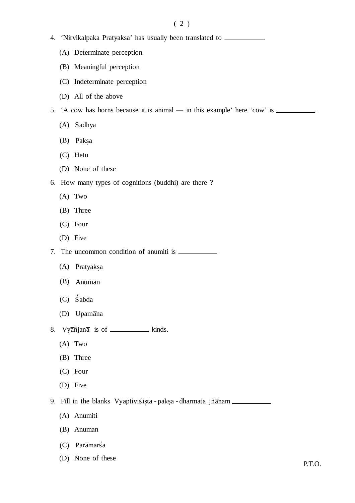# $(2)$

- 4. 'Nirvikalpaka Pratyaksa' has usually been translated to .
	- (A) Determinate perception
	- (B) Meaningful perception
	- (C) Indeterminate perception
	- (D) All of the above

5. 'A cow has horns because it is animal — in this example' here 'cow' is .

- (A) Sadhya
- (B) Paksa  $\tilde{\cdot}$
- (C) Hetu
- (D) None of these
- 6. How many types of cognitions (buddhi) are there ?
	- (A) Two
	- (B) Three
	- (C) Four
	- (D) Five

7. The uncommon condition of anumiti is

- (A) Pratyaksa  $\tilde{\cdot}$
- $(B)$  Anuman
- (C) Sabda
- (D) Upamana
- 8.  $Vy\overline{\textrm{añjana}}$  is of \_\_\_\_\_\_\_\_\_\_\_\_ kinds.
	- (A) Two
	- (B) Three
	- (C) Four
	- (D) Five

9. Fill in the blanks Vyaptivistista  $\tilde{.}$ - paksa  $\tilde{\cdot}$  $-$  dharmat $\overline{a}$  jñ $\overline{a}$ nam

- (A) Anumiti
- (B) Anuman
- $(C)$  Par $\overline{a}$ mars<sup>'</sup>a
- (D) None of these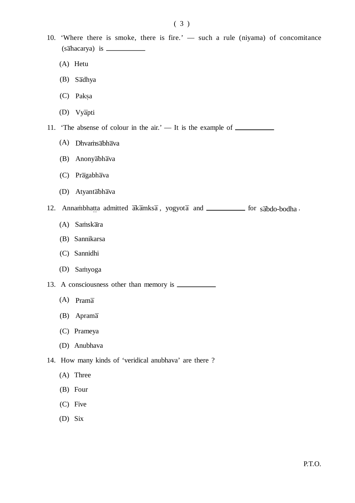- 10. 'Where there is smoke, there is fire.' such a rule (niyama) of concomitance (sahacarya) is
	- (A) Hetu
	- (B) Sadhya
	- (C) Paksa  $\tilde{\cdot}$
	- (D) Vyapti

11. 'The absense of colour in the air.' — It is the example of \_\_\_\_\_\_\_\_\_\_

- (A) Dhvamsabhava
- (B) Anonyabhava
- (C) Pragabhava
- (D) Atyantabhava

12. Annambhatta tta admitted  $\overline{ak}\overline{a}$ mks $\overline{a}$ , yogyot $\overline{a}$  and **for sabdo-bodha** .

- (A) Samskara
- (B) Sannikarsa
- (C) Sannidhi
- (D) Samyoga

13. A consciousness other than memory is

- $(A)$  Prama
- (B) Aprama
- (C) Prameya
- (D) Anubhava
- 14. How many kinds of 'veridical anubhava' are there ?
	- (A) Three
	- (B) Four
	- (C) Five
	- (D) Six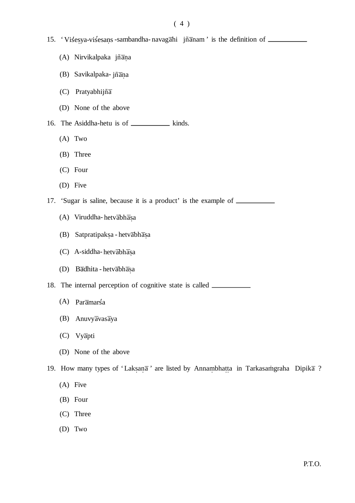- 15. ' Visesya-visesans  $\ddot{\cdot}$ -sambandha-navagahi jñanam' is the definition of
	- (A) Nirvikalpaka jñana Ĭ
	- (B) Savikalpaka- jñana Ï
	- $(C)$  Pratyabhijñ $\overline{a}$
	- (D) None of the above
- 16. The Asiddha-hetu is of \_\_\_\_\_\_\_\_\_\_\_\_\_ kinds.
	- (A) Two
	- (B) Three
	- (C) Four
	- (D) Five
- 17. 'Sugar is saline, because it is a product' is the example of
	- (A) Viruddha- hetvabhasa  $\tilde{\cdot}$
	- (B) Satpratipaksa  $\tilde{\cdot}$ - hetv<del>abhasa</del>  $\tilde{.}$
	- (C) A-siddha- hetvabhasa  $\tilde{\cdot}$
	- (D) Badhita hetvabhasa  $\tilde{\cdot}$

18. The internal perception of cognitive state is called

- (A) Paramarsa
- $(B)$  Anuvyavasaya
- (C) Vyapti
- (D) None of the above
- 19. How many types of 'Laksana  $\ddot{\phantom{a}}$ ' are listed by Annambhatta ..........<br>... in Tarkasamgraha Dipika ?
	- (A) Five
	- (B) Four
	- (C) Three
	- (D) Two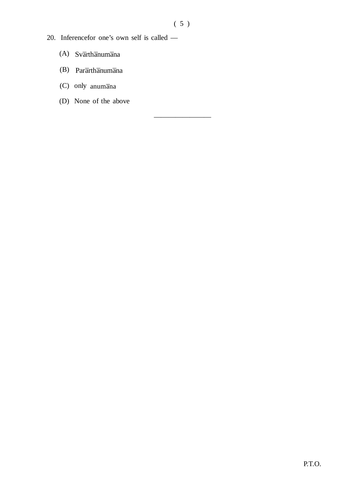————————

- 20. Inferencefor one's own self is called
	- $(A)$  Svarthanumana
	- (B) Pararthanumana
	- (C) only anumana
	- (D) None of the above